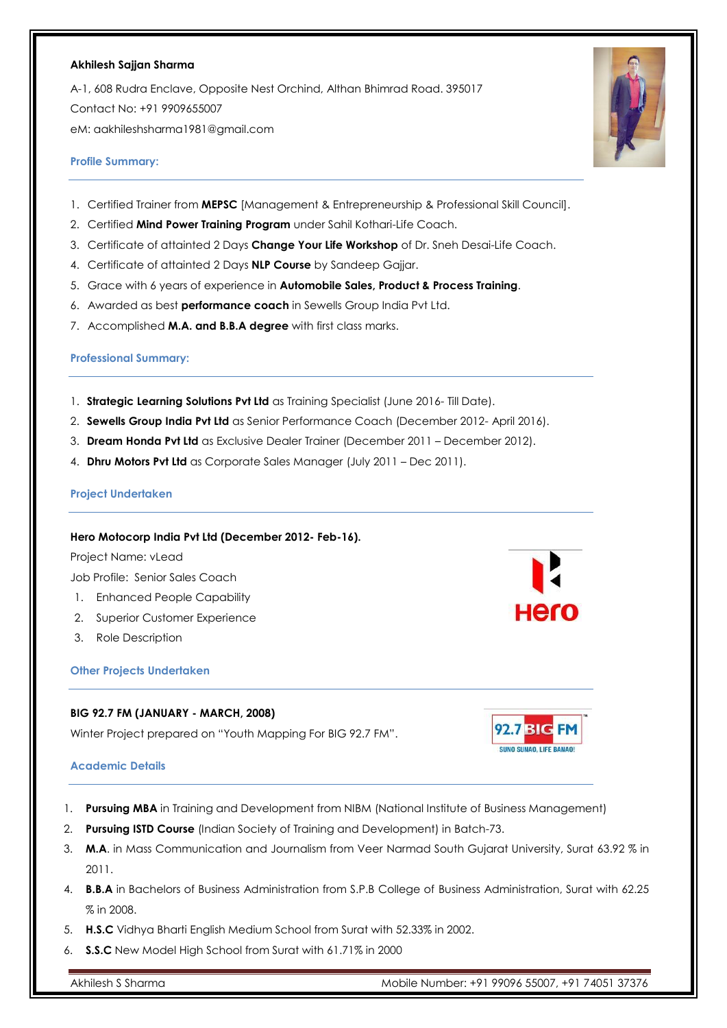#### **Akhilesh Sajjan Sharma**

A-1, 608 Rudra Enclave, Opposite Nest Orchind, Althan Bhimrad Road. 395017 Contact No: +91 9909655007 eM[: aakhileshsharma1981@gmail.com](mailto:aakhileshsharma1981@gmail.com)

# **Profile Summary:**

- 1. Certified Trainer from **MEPSC** [Management & Entrepreneurship & Professional Skill Council].
- 2. Certified **Mind Power Training Program** under Sahil Kothari-Life Coach.
- 3. Certificate of attainted 2 Days **Change Your Life Workshop** of Dr. Sneh Desai-Life Coach.
- 4. Certificate of attainted 2 Days **NLP Course** by Sandeep Gajjar.
- 5. Grace with 6 years of experience in **Automobile Sales, Product & Process Training**.
- 6. Awarded as best **performance coach** in Sewells Group India Pvt Ltd.
- 7. Accomplished **M.A. and B.B.A degree** with first class marks.

# **Professional Summary:**

- 1. **Strategic Learning Solutions Pvt Ltd** as Training Specialist (June 2016- Till Date).
- 2. **Sewells Group India Pvt Ltd** as Senior Performance Coach (December 2012- April 2016).
- 3. **Dream Honda Pvt Ltd** as Exclusive Dealer Trainer (December 2011 December 2012).
- 4. **Dhru Motors Pvt Ltd** as Corporate Sales Manager (July 2011 Dec 2011).

## **Project Undertaken**

## **Hero Motocorp India Pvt Ltd (December 2012- Feb-16).**

Project Name: vLead

Job Profile: Senior Sales Coach

- 1. Enhanced People Capability
- 2. Superior Customer Experience
- 3. Role Description

## **Other Projects Undertaken**

# **BIG 92.7 FM (JANUARY - MARCH, 2008)**

Winter Project prepared on "Youth Mapping For BIG 92.7 FM".

## **Academic Details**

- 1. **Pursuing MBA** in Training and Development from NIBM (National Institute of Business Management)
- 2. **Pursuing ISTD Course** (Indian Society of Training and Development) in Batch-73.
- 3. **M.A**. in Mass Communication and Journalism from Veer Narmad South Gujarat University, Surat 63.92 % in 2011.
- 4. **B.B.A** in Bachelors of Business Administration from S.P.B College of Business Administration, Surat with 62.25 % in 2008.
- 5. **H.S.C** Vidhya Bharti English Medium School from Surat with 52.33% in 2002.
- 6. **S.S.C** New Model High School from Surat with 61.71% in 2000







Hero